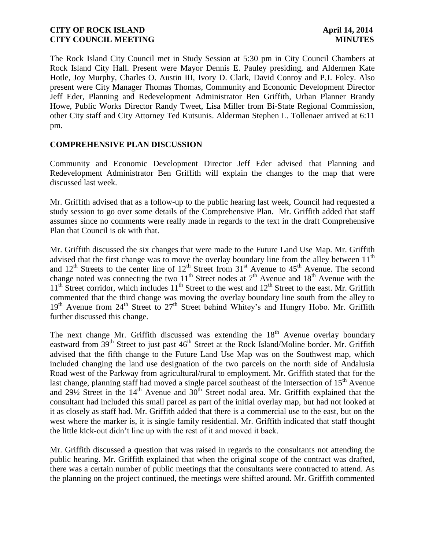The Rock Island City Council met in Study Session at 5:30 pm in City Council Chambers at Rock Island City Hall. Present were Mayor Dennis E. Pauley presiding, and Aldermen Kate Hotle, Joy Murphy, Charles O. Austin III, Ivory D. Clark, David Conroy and P.J. Foley. Also present were City Manager Thomas Thomas, Community and Economic Development Director Jeff Eder, Planning and Redevelopment Administrator Ben Griffith, Urban Planner Brandy Howe, Public Works Director Randy Tweet, Lisa Miller from Bi-State Regional Commission, other City staff and City Attorney Ted Kutsunis. Alderman Stephen L. Tollenaer arrived at 6:11 pm.

# **COMPREHENSIVE PLAN DISCUSSION**

Community and Economic Development Director Jeff Eder advised that Planning and Redevelopment Administrator Ben Griffith will explain the changes to the map that were discussed last week.

Mr. Griffith advised that as a follow-up to the public hearing last week, Council had requested a study session to go over some details of the Comprehensive Plan. Mr. Griffith added that staff assumes since no comments were really made in regards to the text in the draft Comprehensive Plan that Council is ok with that.

Mr. Griffith discussed the six changes that were made to the Future Land Use Map. Mr. Griffith advised that the first change was to move the overlay boundary line from the alley between 11<sup>th</sup> and  $12<sup>th</sup>$  Streets to the center line of  $12<sup>th</sup>$  Street from  $31<sup>st</sup>$  Avenue to  $45<sup>th</sup>$  Avenue. The second change noted was connecting the two  $11<sup>th</sup>$  Street nodes at  $7<sup>th</sup>$  Avenue and  $18<sup>th</sup>$  Avenue with the  $11<sup>th</sup>$  Street corridor, which includes  $11<sup>th</sup>$  Street to the west and  $12<sup>th</sup>$  Street to the east. Mr. Griffith commented that the third change was moving the overlay boundary line south from the alley to 19<sup>th</sup> Avenue from 24<sup>th</sup> Street to 27<sup>th</sup> Street behind Whitey's and Hungry Hobo. Mr. Griffith further discussed this change.

The next change Mr. Griffith discussed was extending the  $18<sup>th</sup>$  Avenue overlay boundary eastward from  $39<sup>th</sup>$  Street to just past 46<sup>th</sup> Street at the Rock Island/Moline border. Mr. Griffith advised that the fifth change to the Future Land Use Map was on the Southwest map, which included changing the land use designation of the two parcels on the north side of Andalusia Road west of the Parkway from agricultural/rural to employment. Mr. Griffith stated that for the last change, planning staff had moved a single parcel southeast of the intersection of  $15<sup>th</sup>$  Avenue and  $29\frac{1}{2}$  Street in the  $14<sup>th</sup>$  Avenue and  $30<sup>th</sup>$  Street nodal area. Mr. Griffith explained that the consultant had included this small parcel as part of the initial overlay map, but had not looked at it as closely as staff had. Mr. Griffith added that there is a commercial use to the east, but on the west where the marker is, it is single family residential. Mr. Griffith indicated that staff thought the little kick-out didn't line up with the rest of it and moved it back.

Mr. Griffith discussed a question that was raised in regards to the consultants not attending the public hearing. Mr. Griffith explained that when the original scope of the contract was drafted, there was a certain number of public meetings that the consultants were contracted to attend. As the planning on the project continued, the meetings were shifted around. Mr. Griffith commented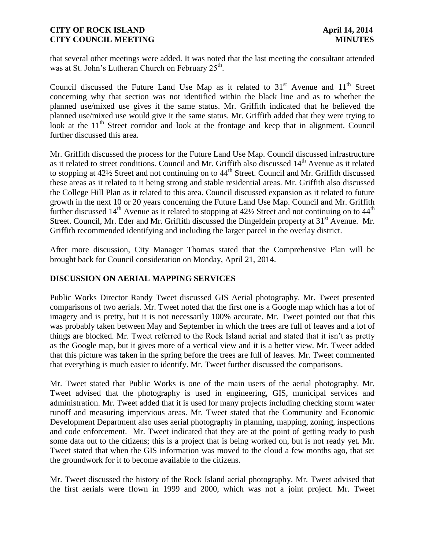that several other meetings were added. It was noted that the last meeting the consultant attended was at St. John's Lutheran Church on February 25<sup>th</sup>.

Council discussed the Future Land Use Map as it related to  $31<sup>st</sup>$  Avenue and  $11<sup>th</sup>$  Street concerning why that section was not identified within the black line and as to whether the planned use/mixed use gives it the same status. Mr. Griffith indicated that he believed the planned use/mixed use would give it the same status. Mr. Griffith added that they were trying to look at the  $11<sup>th</sup>$  Street corridor and look at the frontage and keep that in alignment. Council further discussed this area.

Mr. Griffith discussed the process for the Future Land Use Map. Council discussed infrastructure as it related to street conditions. Council and Mr. Griffith also discussed 14<sup>th</sup> Avenue as it related to stopping at 42<sup>1</sup>/<sub>2</sub> Street and not continuing on to 44<sup>th</sup> Street. Council and Mr. Griffith discussed these areas as it related to it being strong and stable residential areas. Mr. Griffith also discussed the College Hill Plan as it related to this area. Council discussed expansion as it related to future growth in the next 10 or 20 years concerning the Future Land Use Map. Council and Mr. Griffith further discussed 14<sup>th</sup> Avenue as it related to stopping at  $42\frac{1}{2}$  Street and not continuing on to  $44^{\text{th}}$ Street. Council, Mr. Eder and Mr. Griffith discussed the Dingeldein property at 31<sup>st</sup> Avenue. Mr. Griffith recommended identifying and including the larger parcel in the overlay district.

After more discussion, City Manager Thomas stated that the Comprehensive Plan will be brought back for Council consideration on Monday, April 21, 2014.

# **DISCUSSION ON AERIAL MAPPING SERVICES**

Public Works Director Randy Tweet discussed GIS Aerial photography. Mr. Tweet presented comparisons of two aerials. Mr. Tweet noted that the first one is a Google map which has a lot of imagery and is pretty, but it is not necessarily 100% accurate. Mr. Tweet pointed out that this was probably taken between May and September in which the trees are full of leaves and a lot of things are blocked. Mr. Tweet referred to the Rock Island aerial and stated that it isn't as pretty as the Google map, but it gives more of a vertical view and it is a better view. Mr. Tweet added that this picture was taken in the spring before the trees are full of leaves. Mr. Tweet commented that everything is much easier to identify. Mr. Tweet further discussed the comparisons.

Mr. Tweet stated that Public Works is one of the main users of the aerial photography. Mr. Tweet advised that the photography is used in engineering, GIS, municipal services and administration. Mr. Tweet added that it is used for many projects including checking storm water runoff and measuring impervious areas. Mr. Tweet stated that the Community and Economic Development Department also uses aerial photography in planning, mapping, zoning, inspections and code enforcement. Mr. Tweet indicated that they are at the point of getting ready to push some data out to the citizens; this is a project that is being worked on, but is not ready yet. Mr. Tweet stated that when the GIS information was moved to the cloud a few months ago, that set the groundwork for it to become available to the citizens.

Mr. Tweet discussed the history of the Rock Island aerial photography. Mr. Tweet advised that the first aerials were flown in 1999 and 2000, which was not a joint project. Mr. Tweet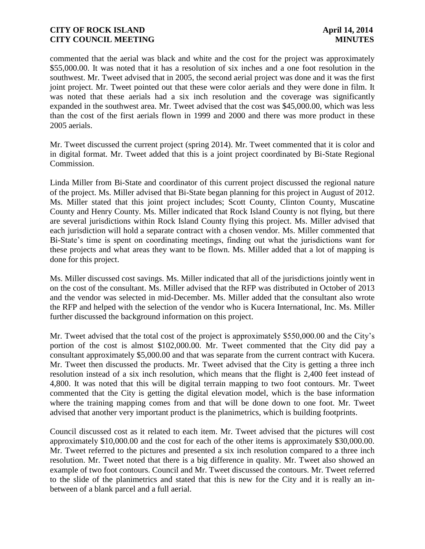commented that the aerial was black and white and the cost for the project was approximately \$55,000.00. It was noted that it has a resolution of six inches and a one foot resolution in the southwest. Mr. Tweet advised that in 2005, the second aerial project was done and it was the first joint project. Mr. Tweet pointed out that these were color aerials and they were done in film. It was noted that these aerials had a six inch resolution and the coverage was significantly expanded in the southwest area. Mr. Tweet advised that the cost was \$45,000.00, which was less than the cost of the first aerials flown in 1999 and 2000 and there was more product in these 2005 aerials.

Mr. Tweet discussed the current project (spring 2014). Mr. Tweet commented that it is color and in digital format. Mr. Tweet added that this is a joint project coordinated by Bi-State Regional Commission.

Linda Miller from Bi-State and coordinator of this current project discussed the regional nature of the project. Ms. Miller advised that Bi-State began planning for this project in August of 2012. Ms. Miller stated that this joint project includes; Scott County, Clinton County, Muscatine County and Henry County. Ms. Miller indicated that Rock Island County is not flying, but there are several jurisdictions within Rock Island County flying this project. Ms. Miller advised that each jurisdiction will hold a separate contract with a chosen vendor. Ms. Miller commented that Bi-State's time is spent on coordinating meetings, finding out what the jurisdictions want for these projects and what areas they want to be flown. Ms. Miller added that a lot of mapping is done for this project.

Ms. Miller discussed cost savings. Ms. Miller indicated that all of the jurisdictions jointly went in on the cost of the consultant. Ms. Miller advised that the RFP was distributed in October of 2013 and the vendor was selected in mid-December. Ms. Miller added that the consultant also wrote the RFP and helped with the selection of the vendor who is Kucera International, Inc. Ms. Miller further discussed the background information on this project.

Mr. Tweet advised that the total cost of the project is approximately \$550,000.00 and the City's portion of the cost is almost \$102,000.00. Mr. Tweet commented that the City did pay a consultant approximately \$5,000.00 and that was separate from the current contract with Kucera. Mr. Tweet then discussed the products. Mr. Tweet advised that the City is getting a three inch resolution instead of a six inch resolution, which means that the flight is 2,400 feet instead of 4,800. It was noted that this will be digital terrain mapping to two foot contours. Mr. Tweet commented that the City is getting the digital elevation model, which is the base information where the training mapping comes from and that will be done down to one foot. Mr. Tweet advised that another very important product is the planimetrics, which is building footprints.

Council discussed cost as it related to each item. Mr. Tweet advised that the pictures will cost approximately \$10,000.00 and the cost for each of the other items is approximately \$30,000.00. Mr. Tweet referred to the pictures and presented a six inch resolution compared to a three inch resolution. Mr. Tweet noted that there is a big difference in quality. Mr. Tweet also showed an example of two foot contours. Council and Mr. Tweet discussed the contours. Mr. Tweet referred to the slide of the planimetrics and stated that this is new for the City and it is really an inbetween of a blank parcel and a full aerial.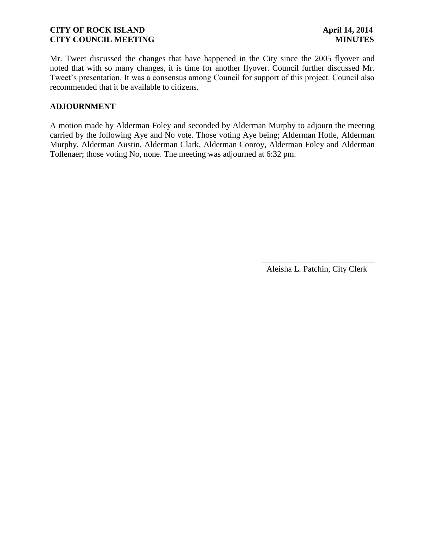Mr. Tweet discussed the changes that have happened in the City since the 2005 flyover and noted that with so many changes, it is time for another flyover. Council further discussed Mr. Tweet's presentation. It was a consensus among Council for support of this project. Council also recommended that it be available to citizens.

### **ADJOURNMENT**

A motion made by Alderman Foley and seconded by Alderman Murphy to adjourn the meeting carried by the following Aye and No vote. Those voting Aye being; Alderman Hotle, Alderman Murphy, Alderman Austin, Alderman Clark, Alderman Conroy, Alderman Foley and Alderman Tollenaer; those voting No, none. The meeting was adjourned at 6:32 pm.

Aleisha L. Patchin, City Clerk

 $\frac{1}{2}$  , and the set of the set of the set of the set of the set of the set of the set of the set of the set of the set of the set of the set of the set of the set of the set of the set of the set of the set of the set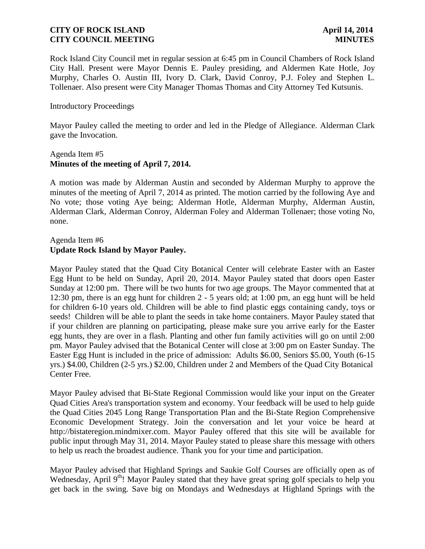Rock Island City Council met in regular session at 6:45 pm in Council Chambers of Rock Island City Hall. Present were Mayor Dennis E. Pauley presiding, and Aldermen Kate Hotle, Joy Murphy, Charles O. Austin III, Ivory D. Clark, David Conroy, P.J. Foley and Stephen L. Tollenaer. Also present were City Manager Thomas Thomas and City Attorney Ted Kutsunis.

### Introductory Proceedings

Mayor Pauley called the meeting to order and led in the Pledge of Allegiance. Alderman Clark gave the Invocation.

### Agenda Item #5 **Minutes of the meeting of April 7, 2014.**

A motion was made by Alderman Austin and seconded by Alderman Murphy to approve the minutes of the meeting of April 7, 2014 as printed. The motion carried by the following Aye and No vote; those voting Aye being; Alderman Hotle, Alderman Murphy, Alderman Austin, Alderman Clark, Alderman Conroy, Alderman Foley and Alderman Tollenaer; those voting No, none.

# Agenda Item #6 **Update Rock Island by Mayor Pauley.**

Mayor Pauley stated that the Quad City Botanical Center will celebrate Easter with an Easter Egg Hunt to be held on Sunday, April 20, 2014. Mayor Pauley stated that doors open Easter Sunday at 12:00 pm. There will be two hunts for two age groups. The Mayor commented that at 12:30 pm, there is an egg hunt for children 2 - 5 years old; at 1:00 pm, an egg hunt will be held for children 6-10 years old. Children will be able to find plastic eggs containing candy, toys or seeds! Children will be able to plant the seeds in take home containers. Mayor Pauley stated that if your children are planning on participating, please make sure you arrive early for the Easter egg hunts, they are over in a flash. Planting and other fun family activities will go on until 2:00 pm. Mayor Pauley advised that the Botanical Center will close at 3:00 pm on Easter Sunday. The Easter Egg Hunt is included in the price of admission: Adults \$6.00, Seniors \$5.00, Youth (6-15 yrs.) \$4.00, Children (2-5 yrs.) \$2.00, Children under 2 and Members of the Quad City Botanical Center Free.

Mayor Pauley advised that Bi-State Regional Commission would like your input on the Greater Quad Cities Area's transportation system and economy. Your feedback will be used to help guide the Quad Cities 2045 Long Range Transportation Plan and the Bi-State Region Comprehensive Economic Development Strategy. Join the conversation and let your voice be heard at http://bistateregion.mindmixer.com. Mayor Pauley offered that this site will be available for public input through May 31, 2014. Mayor Pauley stated to please share this message with others to help us reach the broadest audience. Thank you for your time and participation.

Mayor Pauley advised that Highland Springs and Saukie Golf Courses are officially open as of Wednesday, April 9<sup>th</sup>! Mayor Pauley stated that they have great spring golf specials to help you get back in the swing. Save big on Mondays and Wednesdays at Highland Springs with the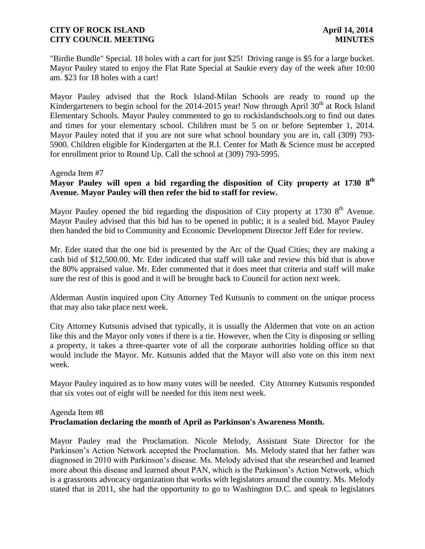"Birdie Bundle" Special. 18 holes with a cart for just \$25! Driving range is \$5 for a large bucket. Mayor Pauley stated to enjoy the Flat Rate Special at Saukie every day of the week after 10:00 am. \$23 for 18 holes with a cart!

Mayor Pauley advised that the Rock Island-Milan Schools are ready to round up the Kindergarteners to begin school for the 2014-2015 year! Now through April 30<sup>th</sup> at Rock Island Elementary Schools. Mayor Pauley commented to go to rockislandschools.org to find out dates and times for your elementary school. Children must be 5 on or before September 1, 2014. Mayor Pauley noted that if you are not sure what school boundary you are in, call (309) 793- 5900. Children eligible for Kindergarten at the R.I. Center for Math & Science must be accepted for enrollment prior to Round Up. Call the school at (309) 793-5995.

### Agenda Item #7

# **Mayor Pauley will open a bid regarding the disposition of City property at 1730 8 th Avenue. Mayor Pauley will then refer the bid to staff for review.**

Mayor Pauley opened the bid regarding the disposition of City property at 1730 8<sup>th</sup> Avenue. Mayor Pauley advised that this bid has to be opened in public; it is a sealed bid. Mayor Pauley then handed the bid to Community and Economic Development Director Jeff Eder for review.

Mr. Eder stated that the one bid is presented by the Arc of the Quad Cities; they are making a cash bid of \$12,500.00. Mr. Eder indicated that staff will take and review this bid that is above the 80% appraised value. Mr. Eder commented that it does meet that criteria and staff will make sure the rest of this is good and it will be brought back to Council for action next week.

Alderman Austin inquired upon City Attorney Ted Kutsunis to comment on the unique process that may also take place next week.

City Attorney Kutsunis advised that typically, it is usually the Aldermen that vote on an action like this and the Mayor only votes if there is a tie. However, when the City is disposing or selling a property, it takes a three-quarter vote of all the corporate authorities holding office so that would include the Mayor. Mr. Kutsunis added that the Mayor will also vote on this item next week.

Mayor Pauley inquired as to how many votes will be needed. City Attorney Kutsunis responded that six votes out of eight will be needed for this item next week.

### Agenda Item #8 **Proclamation declaring the month of April as Parkinson's Awareness Month.**

Mayor Pauley read the Proclamation. Nicole Melody, Assistant State Director for the Parkinson's Action Network accepted the Proclamation. Ms. Melody stated that her father was diagnosed in 2010 with Parkinson's disease. Ms. Melody advised that she researched and learned more about this disease and learned about PAN, which is the Parkinson's Action Network, which is a grassroots advocacy organization that works with legislators around the country. Ms. Melody stated that in 2011, she had the opportunity to go to Washington D.C. and speak to legislators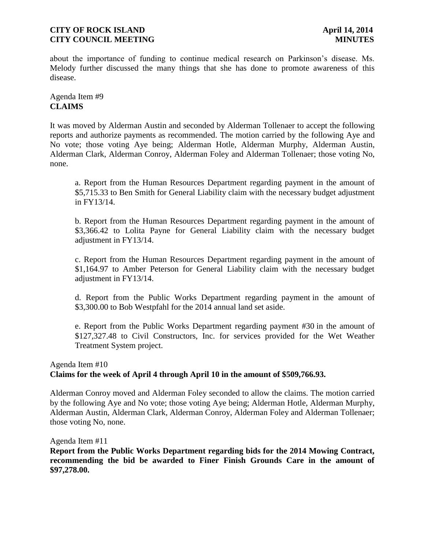about the importance of funding to continue medical research on Parkinson's disease. Ms. Melody further discussed the many things that she has done to promote awareness of this disease.

Agenda Item #9 **CLAIMS**

It was moved by Alderman Austin and seconded by Alderman Tollenaer to accept the following reports and authorize payments as recommended. The motion carried by the following Aye and No vote; those voting Aye being; Alderman Hotle, Alderman Murphy, Alderman Austin, Alderman Clark, Alderman Conroy, Alderman Foley and Alderman Tollenaer; those voting No, none.

a. Report from the Human Resources Department regarding payment in the amount of \$5,715.33 to Ben Smith for General Liability claim with the necessary budget adjustment in FY13/14.

b. Report from the Human Resources Department regarding payment in the amount of \$3,366.42 to Lolita Payne for General Liability claim with the necessary budget adjustment in FY13/14.

c. Report from the Human Resources Department regarding payment in the amount of \$1,164.97 to Amber Peterson for General Liability claim with the necessary budget adjustment in FY13/14.

d. Report from the Public Works Department regarding payment in the amount of \$3,300.00 to Bob Westpfahl for the 2014 annual land set aside.

e. Report from the Public Works Department regarding payment #30 in the amount of \$127,327.48 to Civil Constructors, Inc. for services provided for the Wet Weather Treatment System project.

# Agenda Item #10 **Claims for the week of April 4 through April 10 in the amount of \$509,766.93.**

Alderman Conroy moved and Alderman Foley seconded to allow the claims. The motion carried by the following Aye and No vote; those voting Aye being; Alderman Hotle, Alderman Murphy, Alderman Austin, Alderman Clark, Alderman Conroy, Alderman Foley and Alderman Tollenaer; those voting No, none.

Agenda Item #11

**Report from the Public Works Department regarding bids for the 2014 Mowing Contract, recommending the bid be awarded to Finer Finish Grounds Care in the amount of \$97,278.00.**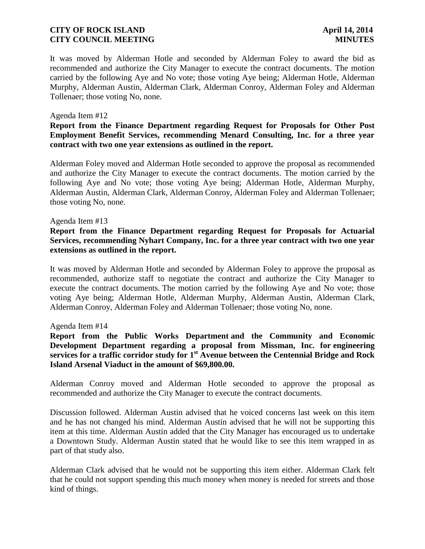It was moved by Alderman Hotle and seconded by Alderman Foley to award the bid as recommended and authorize the City Manager to execute the contract documents. The motion carried by the following Aye and No vote; those voting Aye being; Alderman Hotle, Alderman Murphy, Alderman Austin, Alderman Clark, Alderman Conroy, Alderman Foley and Alderman Tollenaer; those voting No, none.

#### Agenda Item #12

## **Report from the Finance Department regarding Request for Proposals for Other Post Employment Benefit Services, recommending Menard Consulting, Inc. for a three year contract with two one year extensions as outlined in the report.**

Alderman Foley moved and Alderman Hotle seconded to approve the proposal as recommended and authorize the City Manager to execute the contract documents. The motion carried by the following Aye and No vote; those voting Aye being; Alderman Hotle, Alderman Murphy, Alderman Austin, Alderman Clark, Alderman Conroy, Alderman Foley and Alderman Tollenaer; those voting No, none.

#### Agenda Item #13

# **Report from the Finance Department regarding Request for Proposals for Actuarial Services, recommending Nyhart Company, Inc. for a three year contract with two one year extensions as outlined in the report.**

It was moved by Alderman Hotle and seconded by Alderman Foley to approve the proposal as recommended, authorize staff to negotiate the contract and authorize the City Manager to execute the contract documents. The motion carried by the following Aye and No vote; those voting Aye being; Alderman Hotle, Alderman Murphy, Alderman Austin, Alderman Clark, Alderman Conroy, Alderman Foley and Alderman Tollenaer; those voting No, none.

#### Agenda Item #14

# **Report from the Public Works Department and the Community and Economic Development Department regarding a proposal from Missman, Inc. for engineering services for a traffic corridor study for 1 st Avenue between the Centennial Bridge and Rock Island Arsenal Viaduct in the amount of \$69,800.00.**

Alderman Conroy moved and Alderman Hotle seconded to approve the proposal as recommended and authorize the City Manager to execute the contract documents.

Discussion followed. Alderman Austin advised that he voiced concerns last week on this item and he has not changed his mind. Alderman Austin advised that he will not be supporting this item at this time. Alderman Austin added that the City Manager has encouraged us to undertake a Downtown Study. Alderman Austin stated that he would like to see this item wrapped in as part of that study also.

Alderman Clark advised that he would not be supporting this item either. Alderman Clark felt that he could not support spending this much money when money is needed for streets and those kind of things.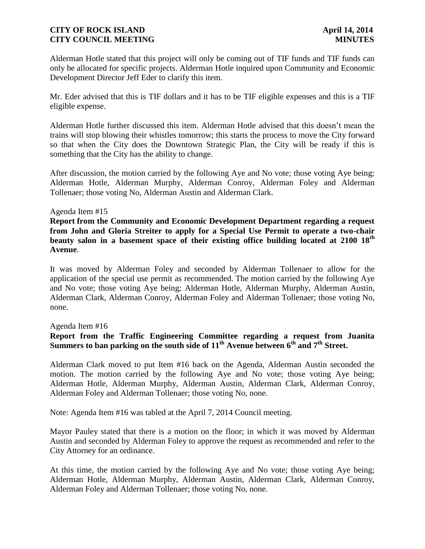Alderman Hotle stated that this project will only be coming out of TIF funds and TIF funds can only be allocated for specific projects. Alderman Hotle inquired upon Community and Economic Development Director Jeff Eder to clarify this item.

Mr. Eder advised that this is TIF dollars and it has to be TIF eligible expenses and this is a TIF eligible expense.

Alderman Hotle further discussed this item. Alderman Hotle advised that this doesn't mean the trains will stop blowing their whistles tomorrow; this starts the process to move the City forward so that when the City does the Downtown Strategic Plan, the City will be ready if this is something that the City has the ability to change.

After discussion, the motion carried by the following Aye and No vote; those voting Aye being; Alderman Hotle, Alderman Murphy, Alderman Conroy, Alderman Foley and Alderman Tollenaer; those voting No, Alderman Austin and Alderman Clark.

### Agenda Item #15

**Report from the Community and Economic Development Department regarding a request from John and Gloria Streiter to apply for a Special Use Permit to operate a two-chair beauty salon in a basement space of their existing office building located at 2100 18th Avenue**.

It was moved by Alderman Foley and seconded by Alderman Tollenaer to allow for the application of the special use permit as recommended. The motion carried by the following Aye and No vote; those voting Aye being; Alderman Hotle, Alderman Murphy, Alderman Austin, Alderman Clark, Alderman Conroy, Alderman Foley and Alderman Tollenaer; those voting No, none.

#### Agenda Item #16

# **Report from the Traffic Engineering Committee regarding a request from Juanita Summers to ban parking on the south side of 11th Avenue between 6th and 7th Street.**

Alderman Clark moved to put Item #16 back on the Agenda, Alderman Austin seconded the motion. The motion carried by the following Aye and No vote; those voting Aye being; Alderman Hotle, Alderman Murphy, Alderman Austin, Alderman Clark, Alderman Conroy, Alderman Foley and Alderman Tollenaer; those voting No, none.

Note: Agenda Item #16 was tabled at the April 7, 2014 Council meeting.

Mayor Pauley stated that there is a motion on the floor; in which it was moved by Alderman Austin and seconded by Alderman Foley to approve the request as recommended and refer to the City Attorney for an ordinance.

At this time, the motion carried by the following Aye and No vote; those voting Aye being; Alderman Hotle, Alderman Murphy, Alderman Austin, Alderman Clark, Alderman Conroy, Alderman Foley and Alderman Tollenaer; those voting No, none.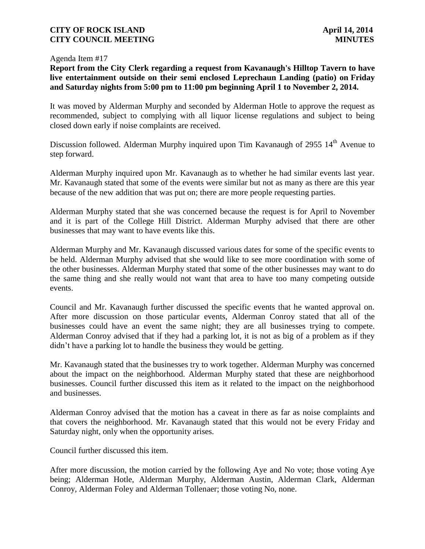#### Agenda Item #17

# **Report from the City Clerk regarding a request from Kavanaugh's Hilltop Tavern to have live entertainment outside on their semi enclosed Leprechaun Landing (patio) on Friday and Saturday nights from 5:00 pm to 11:00 pm beginning April 1 to November 2, 2014.**

It was moved by Alderman Murphy and seconded by Alderman Hotle to approve the request as recommended, subject to complying with all liquor license regulations and subject to being closed down early if noise complaints are received.

Discussion followed. Alderman Murphy inquired upon Tim Kavanaugh of 2955 14<sup>th</sup> Avenue to step forward.

Alderman Murphy inquired upon Mr. Kavanaugh as to whether he had similar events last year. Mr. Kavanaugh stated that some of the events were similar but not as many as there are this year because of the new addition that was put on; there are more people requesting parties.

Alderman Murphy stated that she was concerned because the request is for April to November and it is part of the College Hill District. Alderman Murphy advised that there are other businesses that may want to have events like this.

Alderman Murphy and Mr. Kavanaugh discussed various dates for some of the specific events to be held. Alderman Murphy advised that she would like to see more coordination with some of the other businesses. Alderman Murphy stated that some of the other businesses may want to do the same thing and she really would not want that area to have too many competing outside events.

Council and Mr. Kavanaugh further discussed the specific events that he wanted approval on. After more discussion on those particular events, Alderman Conroy stated that all of the businesses could have an event the same night; they are all businesses trying to compete. Alderman Conroy advised that if they had a parking lot, it is not as big of a problem as if they didn't have a parking lot to handle the business they would be getting.

Mr. Kavanaugh stated that the businesses try to work together. Alderman Murphy was concerned about the impact on the neighborhood. Alderman Murphy stated that these are neighborhood businesses. Council further discussed this item as it related to the impact on the neighborhood and businesses.

Alderman Conroy advised that the motion has a caveat in there as far as noise complaints and that covers the neighborhood. Mr. Kavanaugh stated that this would not be every Friday and Saturday night, only when the opportunity arises.

Council further discussed this item.

After more discussion, the motion carried by the following Aye and No vote; those voting Aye being; Alderman Hotle, Alderman Murphy, Alderman Austin, Alderman Clark, Alderman Conroy, Alderman Foley and Alderman Tollenaer; those voting No, none.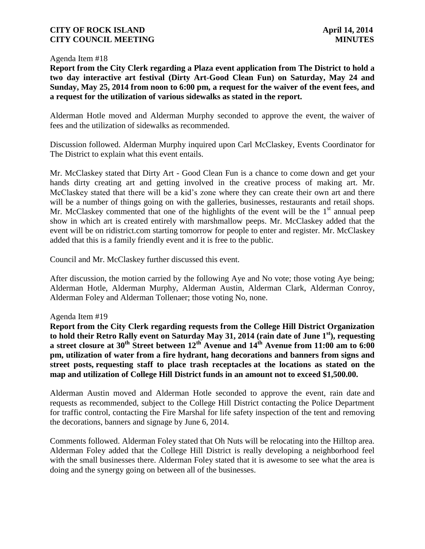#### Agenda Item #18

**Report from the City Clerk regarding a Plaza event application from The District to hold a two day interactive art festival (Dirty Art-Good Clean Fun) on Saturday, May 24 and Sunday, May 25, 2014 from noon to 6:00 pm, a request for the waiver of the event fees, and a request for the utilization of various sidewalks as stated in the report.**

Alderman Hotle moved and Alderman Murphy seconded to approve the event, the waiver of fees and the utilization of sidewalks as recommended.

Discussion followed. Alderman Murphy inquired upon Carl McClaskey, Events Coordinator for The District to explain what this event entails.

Mr. McClaskey stated that Dirty Art - Good Clean Fun is a chance to come down and get your hands dirty creating art and getting involved in the creative process of making art. Mr. McClaskey stated that there will be a kid's zone where they can create their own art and there will be a number of things going on with the galleries, businesses, restaurants and retail shops. Mr. McClaskey commented that one of the highlights of the event will be the  $1<sup>st</sup>$  annual peep show in which art is created entirely with marshmallow peeps. Mr. McClaskey added that the event will be on ridistrict.com starting tomorrow for people to enter and register. Mr. McClaskey added that this is a family friendly event and it is free to the public.

Council and Mr. McClaskey further discussed this event.

After discussion, the motion carried by the following Aye and No vote; those voting Aye being; Alderman Hotle, Alderman Murphy, Alderman Austin, Alderman Clark, Alderman Conroy, Alderman Foley and Alderman Tollenaer; those voting No, none.

Agenda Item #19

**Report from the City Clerk regarding requests from the College Hill District Organization to hold their Retro Rally event on Saturday May 31, 2014 (rain date of June 1 st), requesting a street closure at 30th Street between 12th Avenue and 14th Avenue from 11:00 am to 6:00 pm, utilization of water from a fire hydrant, hang decorations and banners from signs and street posts, requesting staff to place trash receptacles at the locations as stated on the map and utilization of College Hill District funds in an amount not to exceed \$1,500.00.**

Alderman Austin moved and Alderman Hotle seconded to approve the event, rain date and requests as recommended, subject to the College Hill District contacting the Police Department for traffic control, contacting the Fire Marshal for life safety inspection of the tent and removing the decorations, banners and signage by June 6, 2014.

Comments followed. Alderman Foley stated that Oh Nuts will be relocating into the Hilltop area. Alderman Foley added that the College Hill District is really developing a neighborhood feel with the small businesses there. Alderman Foley stated that it is awesome to see what the area is doing and the synergy going on between all of the businesses.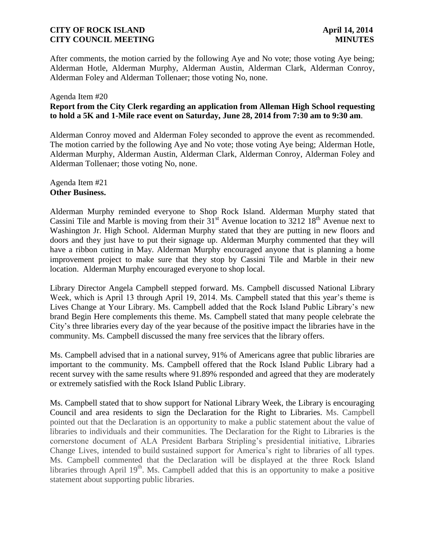After comments, the motion carried by the following Aye and No vote; those voting Aye being; Alderman Hotle, Alderman Murphy, Alderman Austin, Alderman Clark, Alderman Conroy, Alderman Foley and Alderman Tollenaer; those voting No, none.

### Agenda Item #20 **Report from the City Clerk regarding an application from Alleman High School requesting to hold a 5K and 1-Mile race event on Saturday, June 28, 2014 from 7:30 am to 9:30 am**.

Alderman Conroy moved and Alderman Foley seconded to approve the event as recommended. The motion carried by the following Aye and No vote; those voting Aye being; Alderman Hotle, Alderman Murphy, Alderman Austin, Alderman Clark, Alderman Conroy, Alderman Foley and Alderman Tollenaer; those voting No, none.

### Agenda Item #21 **Other Business.**

Alderman Murphy reminded everyone to Shop Rock Island. Alderman Murphy stated that Cassini Tile and Marble is moving from their  $31<sup>st</sup>$  Avenue location to 3212  $18<sup>th</sup>$  Avenue next to Washington Jr. High School. Alderman Murphy stated that they are putting in new floors and doors and they just have to put their signage up. Alderman Murphy commented that they will have a ribbon cutting in May. Alderman Murphy encouraged anyone that is planning a home improvement project to make sure that they stop by Cassini Tile and Marble in their new location. Alderman Murphy encouraged everyone to shop local.

Library Director Angela Campbell stepped forward. Ms. Campbell discussed National Library Week, which is April 13 through April 19, 2014. Ms. Campbell stated that this year's theme is Lives Change at Your Library. Ms. Campbell added that the Rock Island Public Library's new brand Begin Here complements this theme. Ms. Campbell stated that many people celebrate the City's three libraries every day of the year because of the positive impact the libraries have in the community. Ms. Campbell discussed the many free services that the library offers.

Ms. Campbell advised that in a national survey, 91% of Americans agree that public libraries are important to the community. Ms. Campbell offered that the Rock Island Public Library had a recent survey with the same results where 91.89% responded and agreed that they are moderately or extremely satisfied with the Rock Island Public Library.

Ms. Campbell stated that to show support for National Library Week, the Library is encouraging Council and area residents to sign the Declaration for the Right to Libraries. Ms. Campbell pointed out that the Declaration is an opportunity to make a public statement about the value of libraries to individuals and their communities. The Declaration for the Right to Libraries is the cornerstone document of ALA President Barbara Stripling's presidential initiative, Libraries Change Lives, intended to build sustained support for America's right to libraries of all types. Ms. Campbell commented that the Declaration will be displayed at the three Rock Island libraries through April  $19<sup>th</sup>$ . Ms. Campbell added that this is an opportunity to make a positive statement about supporting public libraries.